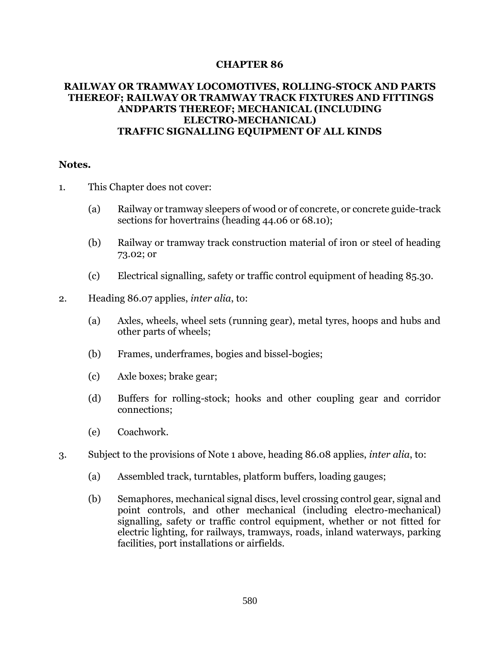## **CHAPTER 86**

## **RAILWAY OR TRAMWAY LOCOMOTIVES, ROLLING-STOCK AND PARTS THEREOF; RAILWAY OR TRAMWAY TRACK FIXTURES AND FITTINGS ANDPARTS THEREOF; MECHANICAL (INCLUDING ELECTRO-MECHANICAL) TRAFFIC SIGNALLING EQUIPMENT OF ALL KINDS**

## **Notes.**

- 1. This Chapter does not cover:
	- (a) Railway or tramway sleepers of wood or of concrete, or concrete guide-track sections for hovertrains (heading 44.06 or 68.10);
	- (b) Railway or tramway track construction material of iron or steel of heading 73.02; or
	- (c) Electrical signalling, safety or traffic control equipment of heading 85.30.
- 2. Heading 86.07 applies, *inter alia*, to:
	- (a) Axles, wheels, wheel sets (running gear), metal tyres, hoops and hubs and other parts of wheels;
	- (b) Frames, underframes, bogies and bissel-bogies;
	- (c) Axle boxes; brake gear;
	- (d) Buffers for rolling-stock; hooks and other coupling gear and corridor connections;
	- (e) Coachwork.
- 3. Subject to the provisions of Note 1 above, heading 86.08 applies, *inter alia*, to:
	- (a) Assembled track, turntables, platform buffers, loading gauges;
	- (b) Semaphores, mechanical signal discs, level crossing control gear, signal and point controls, and other mechanical (including electro-mechanical) signalling, safety or traffic control equipment, whether or not fitted for electric lighting, for railways, tramways, roads, inland waterways, parking facilities, port installations or airfields.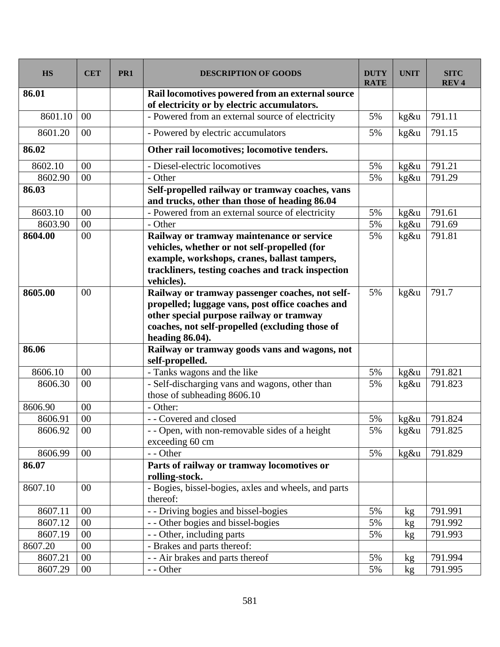| <b>HS</b> | <b>CET</b>     | PR1 | <b>DESCRIPTION OF GOODS</b>                                                                                                                                                                                           | <b>DUTY</b><br><b>RATE</b> | <b>UNIT</b> | <b>SITC</b><br><b>REV<sub>4</sub></b> |
|-----------|----------------|-----|-----------------------------------------------------------------------------------------------------------------------------------------------------------------------------------------------------------------------|----------------------------|-------------|---------------------------------------|
| 86.01     |                |     | Rail locomotives powered from an external source<br>of electricity or by electric accumulators.                                                                                                                       |                            |             |                                       |
| 8601.10   | 0 <sup>0</sup> |     | - Powered from an external source of electricity                                                                                                                                                                      | 5%                         | kg&u        | 791.11                                |
| 8601.20   | $00\,$         |     | - Powered by electric accumulators                                                                                                                                                                                    | 5%                         | $kg\&u$     | 791.15                                |
| 86.02     |                |     | Other rail locomotives; locomotive tenders.                                                                                                                                                                           |                            |             |                                       |
| 8602.10   | 00             |     | - Diesel-electric locomotives                                                                                                                                                                                         | 5%                         | kg&u        | 791.21                                |
| 8602.90   | 00             |     | - Other                                                                                                                                                                                                               | 5%                         | kg&u        | 791.29                                |
| 86.03     |                |     | Self-propelled railway or tramway coaches, vans<br>and trucks, other than those of heading 86.04                                                                                                                      |                            |             |                                       |
| 8603.10   | 00             |     | - Powered from an external source of electricity                                                                                                                                                                      | 5%                         | $kg\&u$     | 791.61                                |
| 8603.90   | 00             |     | - Other                                                                                                                                                                                                               | 5%                         | kg&u        | 791.69                                |
| 8604.00   | 00             |     | Railway or tramway maintenance or service<br>vehicles, whether or not self-propelled (for<br>example, workshops, cranes, ballast tampers,<br>trackliners, testing coaches and track inspection<br>vehicles).          | 5%                         | kg&u        | 791.81                                |
| 8605.00   | $00\,$         |     | Railway or tramway passenger coaches, not self-<br>propelled; luggage vans, post office coaches and<br>other special purpose railway or tramway<br>coaches, not self-propelled (excluding those of<br>heading 86.04). | 5%                         | $kg\&u$     | 791.7                                 |
| 86.06     |                |     | Railway or tramway goods vans and wagons, not<br>self-propelled.                                                                                                                                                      |                            |             |                                       |
| 8606.10   | 00             |     | - Tanks wagons and the like                                                                                                                                                                                           | 5%                         | kg&u        | 791.821                               |
| 8606.30   | 00             |     | - Self-discharging vans and wagons, other than<br>those of subheading 8606.10                                                                                                                                         | 5%                         | kg&u        | 791.823                               |
| 8606.90   | 00             |     | - Other:                                                                                                                                                                                                              |                            |             |                                       |
| 8606.91   | 00             |     | - - Covered and closed                                                                                                                                                                                                | 5%                         | $kg\&u$     | 791.824                               |
| 8606.92   | 00             |     | - - Open, with non-removable sides of a height<br>exceeding 60 cm                                                                                                                                                     | 5%                         | kg&u        | 791.825                               |
| 8606.99   | 00             |     | - - Other                                                                                                                                                                                                             | 5%                         | $kg\&u$     | 791.829                               |
| 86.07     |                |     | Parts of railway or tramway locomotives or<br>rolling-stock.                                                                                                                                                          |                            |             |                                       |
| 8607.10   | 00             |     | - Bogies, bissel-bogies, axles and wheels, and parts<br>thereof:                                                                                                                                                      |                            |             |                                       |
| 8607.11   | $00\,$         |     | - - Driving bogies and bissel-bogies                                                                                                                                                                                  | 5%                         | kg          | 791.991                               |
| 8607.12   | 00             |     | - - Other bogies and bissel-bogies                                                                                                                                                                                    | 5%                         | kg          | 791.992                               |
| 8607.19   | $00\,$         |     | - - Other, including parts                                                                                                                                                                                            | 5%                         | kg          | 791.993                               |
| 8607.20   | 00             |     | - Brakes and parts thereof:                                                                                                                                                                                           |                            |             |                                       |
| 8607.21   | 00             |     | - - Air brakes and parts thereof                                                                                                                                                                                      | 5%                         | kg          | 791.994                               |
| 8607.29   | $00\,$         |     | - - Other                                                                                                                                                                                                             | 5%                         | kg          | 791.995                               |